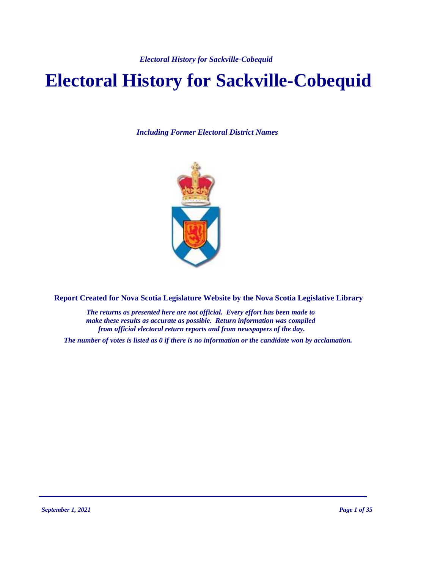# **Electoral History for Sackville-Cobequid**

*Including Former Electoral District Names*



**Report Created for Nova Scotia Legislature Website by the Nova Scotia Legislative Library**

*The returns as presented here are not official. Every effort has been made to make these results as accurate as possible. Return information was compiled from official electoral return reports and from newspapers of the day.*

*The number of votes is listed as 0 if there is no information or the candidate won by acclamation.*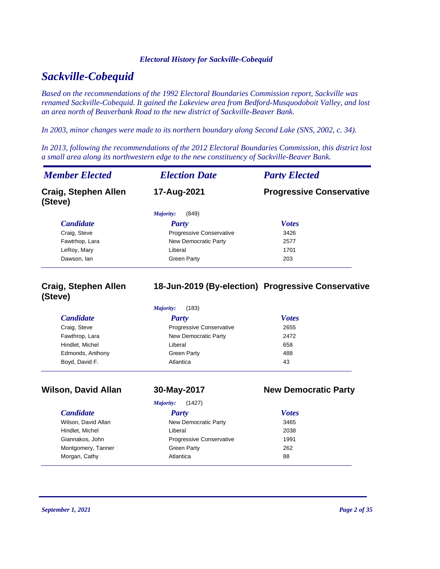# *Sackville-Cobequid*

*Based on the recommendations of the 1992 Electoral Boundaries Commission report, Sackville was renamed Sackville-Cobequid. It gained the Lakeview area from Bedford-Musquodoboit Valley, and lost an area north of Beaverbank Road to the new district of Sackville-Beaver Bank.*

*In 2003, minor changes were made to its northern boundary along Second Lake (SNS, 2002, c. 34).*

*In 2013, following the recommendations of the 2012 Electoral Boundaries Commission, this district lost a small area along its northwestern edge to the new constituency of Sackville-Beaver Bank.*

| <b>Member Elected</b>                  | <b>Election Date</b>     | <b>Party Elected</b>            |
|----------------------------------------|--------------------------|---------------------------------|
| <b>Craig, Stephen Allen</b><br>(Steve) | 17-Aug-2021              | <b>Progressive Conservative</b> |
|                                        | (849)<br>Majority:       |                                 |
| <b>Candidate</b>                       | Party                    | <b>Votes</b>                    |
| Craig, Steve                           | Progressive Conservative | 3426                            |
| Fawtrhop, Lara                         | New Democratic Party     | 2577                            |
| LeRoy, Mary                            | Liberal                  | 1701                            |
| Dawson, lan                            | <b>Green Party</b>       | 203                             |

# **Craig, Stephen Allen (Steve)**

# **18-Jun-2019 (By-election) Progressive Conservative**

| <i>Candidate</i> | <b>Party</b>                    | <b>Votes</b> |
|------------------|---------------------------------|--------------|
| Craig, Steve     | <b>Progressive Conservative</b> | 2655         |
| Fawthrop, Lara   | New Democratic Party            | 2472         |
| Hindlet, Michel  | Liberal                         | 658          |
| Edmonds, Anthony | <b>Green Party</b>              | 488          |
| Boyd, David F.   | Atlantica                       | 43           |

# *Candidate Party Votes* **Wilson, David Allan 30-May-2017 New Democratic Party** *Majority:* (1427) Wilson, David Allan New Democratic Party 3465 Hindlet, Michel Liberal 2038 Giannakos, John Progressive Conservative 1991 Montgomery, Tanner **Communist Creen Party** 262

Morgan, Cathy **Atlantica Cathy Atlantica Cathy Atlantica Cathy Cathy Cathy Cathy Cathy Cathy Cathy Cathy Cathy Cathy Cathy Cathy Cathy Cathy Cathy Cathy Cathy Cathy Cathy Cat**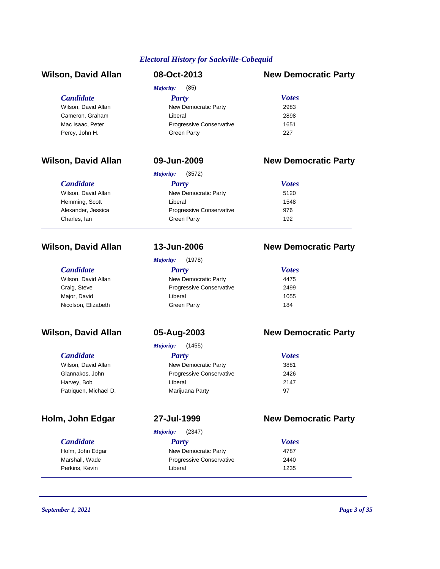| <b>Wilson, David Allan</b> | 08-Oct-2013                     | <b>New Democratic Party</b> |
|----------------------------|---------------------------------|-----------------------------|
|                            | (85)<br>Majority:               |                             |
| <b>Candidate</b>           | Party                           | <b>Votes</b>                |
| Wilson, David Allan        | New Democratic Party            | 2983                        |
| Cameron, Graham            | Liberal                         | 2898                        |
| Mac Isaac, Peter           | <b>Progressive Conservative</b> | 1651                        |
| Percy, John H.             | Green Party                     | 227                         |

# **Wilson, David Allan 09-Jun-2009 New Democratic Party**

|                     | (3572)<br>Majority:             |              |  |
|---------------------|---------------------------------|--------------|--|
| <i>Candidate</i>    | Party                           | <b>Votes</b> |  |
| Wilson, David Allan | New Democratic Party            | 5120         |  |
| Hemming, Scott      | Liberal                         | 1548         |  |
| Alexander, Jessica  | <b>Progressive Conservative</b> | 976          |  |
| Charles, lan        | Green Party                     | 192          |  |

| <b>Candidate</b>    |  |  |
|---------------------|--|--|
| Wilson, David Allan |  |  |
| Craig, Steve        |  |  |
| Major, David        |  |  |
| Nicolson, Elizabeth |  |  |

| <b>Candidate</b>      |
|-----------------------|
| Wilson, David Allan   |
| Glannakos, John       |
| Harvey, Bob           |
| Patriquen, Michael D. |

# **Wilson, David Allan 13-Jun-2006 New Democratic Party**

|                     | (1978)<br>Majority:      |              |
|---------------------|--------------------------|--------------|
| <b>Candidate</b>    | Party                    | <b>Votes</b> |
| Wilson, David Allan | New Democratic Party     | 4475         |
| Craig, Steve        | Progressive Conservative | 2499         |
| Major, David        | Liberal                  | 1055         |
| Nicolson, Elizabeth | Green Party              | 184          |

# **Wilson, David Allan 05-Aug-2003 New Democratic Party**

*Majority:* (1455)

| <b>Candidate</b>      | Party                           | <b>Votes</b> |  |
|-----------------------|---------------------------------|--------------|--|
| Wilson, David Allan   | New Democratic Party            | 3881         |  |
| Glannakos, John       | <b>Progressive Conservative</b> | 2426         |  |
| Harvey, Bob           | Liberal                         | 2147         |  |
| Patriquen, Michael D. | Marijuana Party                 | 97           |  |

*Majority:* (2347)

# **Holm, John Edgar 27-Jul-1999 New Democratic Party**

| <b>Candidate</b> | Party                           | <b>Votes</b> |  |
|------------------|---------------------------------|--------------|--|
| Holm, John Edgar | New Democratic Party            | 4787         |  |
| Marshall, Wade   | <b>Progressive Conservative</b> | 2440         |  |
| Perkins, Kevin   | Liberal                         | 1235         |  |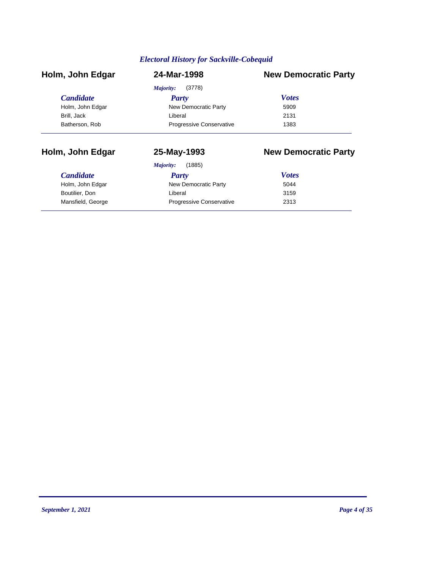| <b>New Democratic Party</b>             |
|-----------------------------------------|
| (3778)                                  |
| <b>Votes</b>                            |
| New Democratic Party<br>5909            |
| 2131                                    |
| <b>Progressive Conservative</b><br>1383 |
|                                         |

# **Holm, John Edgar 25-May-1993 New Democratic Party**

| <b>Candidate</b>  | Party                           | <b>Votes</b> |
|-------------------|---------------------------------|--------------|
| Holm, John Edgar  | New Democratic Party            | 5044         |
| Boutilier, Don    | Liberal                         | 3159         |
| Mansfield, George | <b>Progressive Conservative</b> | 2313         |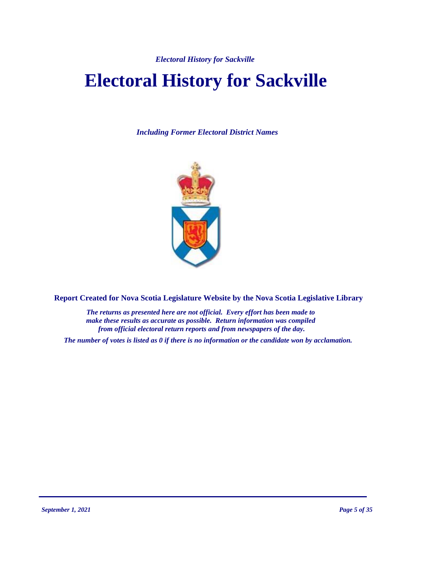*Electoral History for Sackville* 

# **Electoral History for Sackville**

*Including Former Electoral District Names*



**Report Created for Nova Scotia Legislature Website by the Nova Scotia Legislative Library**

*The returns as presented here are not official. Every effort has been made to make these results as accurate as possible. Return information was compiled from official electoral return reports and from newspapers of the day.*

*The number of votes is listed as 0 if there is no information or the candidate won by acclamation.*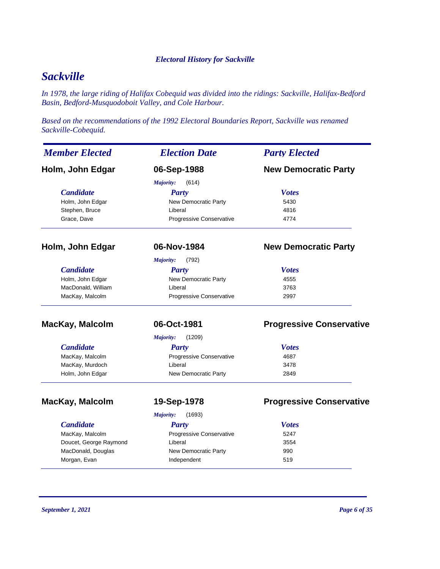### *Electoral History for Sackville*

# *Sackville*

*In 1978, the large riding of Halifax Cobequid was divided into the ridings: Sackville, Halifax-Bedford Basin, Bedford-Musquodoboit Valley, and Cole Harbour.*

*Based on the recommendations of the 1992 Electoral Boundaries Report, Sackville was renamed Sackville-Cobequid.*

| <b>Member Elected</b>  | <b>Election Date</b>            | <b>Party Elected</b>            |  |
|------------------------|---------------------------------|---------------------------------|--|
| Holm, John Edgar       | 06-Sep-1988                     | <b>New Democratic Party</b>     |  |
|                        | Majority:<br>(614)              |                                 |  |
| <b>Candidate</b>       | <b>Party</b>                    | <b>Votes</b>                    |  |
| Holm, John Edgar       | New Democratic Party            | 5430                            |  |
| Stephen, Bruce         | Liberal                         | 4816                            |  |
| Grace, Dave            | Progressive Conservative        | 4774                            |  |
| Holm, John Edgar       | 06-Nov-1984                     | <b>New Democratic Party</b>     |  |
|                        | Majority:<br>(792)              |                                 |  |
| <b>Candidate</b>       | <b>Party</b>                    | <b>Votes</b>                    |  |
| Holm, John Edgar       | New Democratic Party            | 4555                            |  |
| MacDonald, William     | Liberal                         | 3763                            |  |
| MacKay, Malcolm        | <b>Progressive Conservative</b> | 2997                            |  |
| MacKay, Malcolm        | 06-Oct-1981                     | <b>Progressive Conservative</b> |  |
|                        | Majority:<br>(1209)             |                                 |  |
| <b>Candidate</b>       | <b>Party</b>                    | <b>Votes</b>                    |  |
| MacKay, Malcolm        | Progressive Conservative        | 4687                            |  |
| MacKay, Murdoch        | Liberal                         | 3478                            |  |
| Holm, John Edgar       | New Democratic Party            | 2849                            |  |
| <b>MacKay, Malcolm</b> | 19-Sep-1978                     | <b>Progressive Conservative</b> |  |
|                        | Majority:<br>(1693)             |                                 |  |
| <b>Candidate</b>       | <b>Party</b>                    | <b>Votes</b>                    |  |
| MacKay, Malcolm        | Progressive Conservative        | 5247                            |  |
| Doucet, George Raymond | Liberal                         | 3554                            |  |
| MacDonald, Douglas     | New Democratic Party            | 990                             |  |
| Morgan, Evan           | Independent                     | 519                             |  |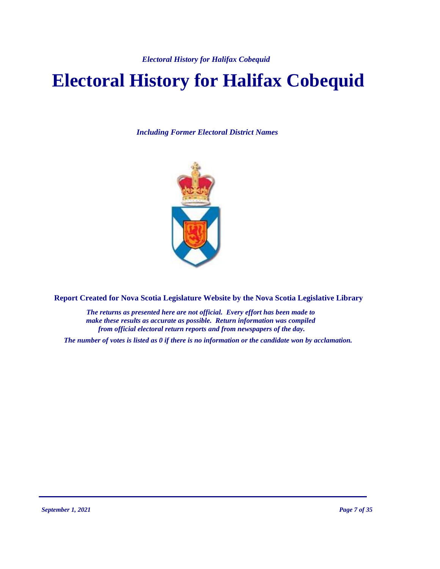*Electoral History for Halifax Cobequid*

# **Electoral History for Halifax Cobequid**

*Including Former Electoral District Names*



**Report Created for Nova Scotia Legislature Website by the Nova Scotia Legislative Library**

*The returns as presented here are not official. Every effort has been made to make these results as accurate as possible. Return information was compiled from official electoral return reports and from newspapers of the day.*

*The number of votes is listed as 0 if there is no information or the candidate won by acclamation.*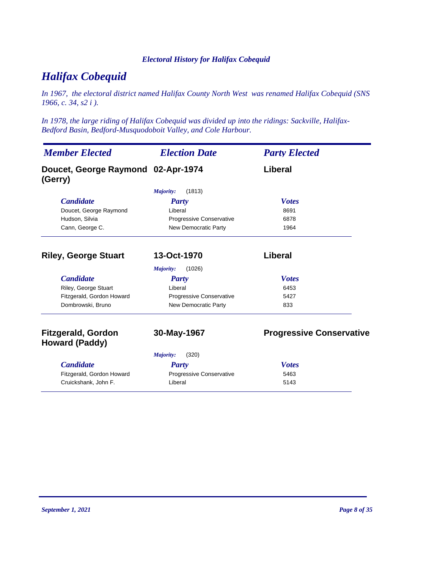# *Electoral History for Halifax Cobequid*

# *Halifax Cobequid*

*In 1967, the electoral district named Halifax County North West was renamed Halifax Cobequid (SNS 1966, c. 34, s2 i ).*

*In 1978, the large riding of Halifax Cobequid was divided up into the ridings: Sackville, Halifax-Bedford Basin, Bedford-Musquodoboit Valley, and Cole Harbour.*

| <b>Member Elected</b>                              | <b>Election Date</b>     | <b>Party Elected</b>            |  |
|----------------------------------------------------|--------------------------|---------------------------------|--|
| Doucet, George Raymond 02-Apr-1974<br>(Gerry)      |                          | Liberal                         |  |
|                                                    | (1813)<br>Majority:      |                                 |  |
| <b>Candidate</b>                                   | Party                    | <b>Votes</b>                    |  |
| Doucet, George Raymond                             | Liberal                  | 8691                            |  |
| Hudson, Silvia                                     | Progressive Conservative | 6878                            |  |
| Cann, George C.                                    | New Democratic Party     | 1964                            |  |
| <b>Riley, George Stuart</b>                        | 13-Oct-1970              | Liberal                         |  |
|                                                    | (1026)<br>Majority:      |                                 |  |
| <b>Candidate</b>                                   | <b>Party</b>             | <b>Votes</b>                    |  |
| Riley, George Stuart                               | Liberal                  | 6453                            |  |
| Fitzgerald, Gordon Howard                          | Progressive Conservative | 5427                            |  |
| Dombrowski, Bruno                                  | New Democratic Party     | 833                             |  |
| <b>Fitzgerald, Gordon</b><br><b>Howard (Paddy)</b> | 30-May-1967              | <b>Progressive Conservative</b> |  |
|                                                    | (320)<br>Majority:       |                                 |  |
| <b>Candidate</b>                                   | Party                    | <b>Votes</b>                    |  |
| Fitzgerald, Gordon Howard                          | Progressive Conservative | 5463                            |  |
| Cruickshank, John F.                               | Liberal                  | 5143                            |  |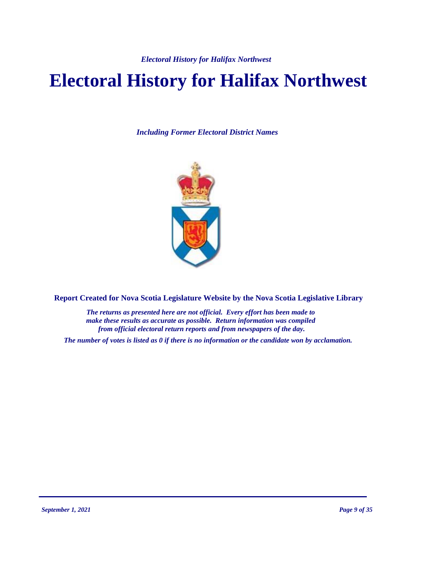# **Electoral History for Halifax Northwest**

*Including Former Electoral District Names*



**Report Created for Nova Scotia Legislature Website by the Nova Scotia Legislative Library**

*The returns as presented here are not official. Every effort has been made to make these results as accurate as possible. Return information was compiled from official electoral return reports and from newspapers of the day.*

*The number of votes is listed as 0 if there is no information or the candidate won by acclamation.*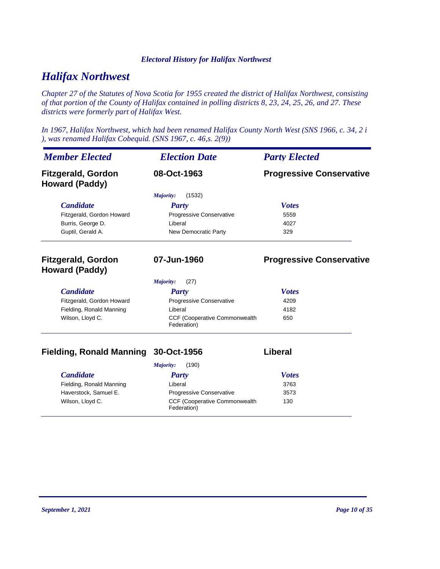# *Halifax Northwest*

*Chapter 27 of the Statutes of Nova Scotia for 1955 created the district of Halifax Northwest, consisting of that portion of the County of Halifax contained in polling districts 8, 23, 24, 25, 26, and 27. These districts were formerly part of Halifax West.*

*In 1967, Halifax Northwest, which had been renamed Halifax County North West (SNS 1966, c. 34, 2 i ), was renamed Halifax Cobequid. (SNS 1967, c. 46,s. 2(9))*

| <b>Member Elected</b>                              | <b>Election Date</b>                         | <b>Party Elected</b>            |
|----------------------------------------------------|----------------------------------------------|---------------------------------|
| <b>Fitzgerald, Gordon</b><br><b>Howard (Paddy)</b> | 08-Oct-1963                                  | <b>Progressive Conservative</b> |
|                                                    | (1532)<br>Majority:                          |                                 |
| <b>Candidate</b>                                   | <b>Party</b>                                 | <b>Votes</b>                    |
| Fitzgerald, Gordon Howard                          | Progressive Conservative                     | 5559                            |
| Burris, George D.                                  | I iberal                                     | 4027                            |
| Guptil, Gerald A.                                  | New Democratic Party                         | 329                             |
| <b>Fitzgerald, Gordon</b><br><b>Howard (Paddy)</b> | 07-Jun-1960                                  | <b>Progressive Conservative</b> |
|                                                    | (27)<br>Majority:                            |                                 |
| <b>Candidate</b>                                   | <b>Party</b>                                 | <b>Votes</b>                    |
| Fitzgerald, Gordon Howard                          | Progressive Conservative                     | 4209                            |
| Fielding, Ronald Manning                           | Liberal                                      | 4182                            |
| Wilson, Lloyd C.                                   | CCF (Cooperative Commonwealth<br>Federation) | 650                             |

# **Fielding, Ronald Manning 30-Oct-1956 Liberal**

| (190)<br>Majority:       |                                                      |              |
|--------------------------|------------------------------------------------------|--------------|
| <i>Candidate</i>         | Party                                                | <b>Votes</b> |
| Fielding, Ronald Manning | Liberal                                              | 3763         |
| Haverstock, Samuel E.    | <b>Progressive Conservative</b>                      | 3573         |
| Wilson, Lloyd C.         | <b>CCF (Cooperative Commonwealth)</b><br>Federation) | 130          |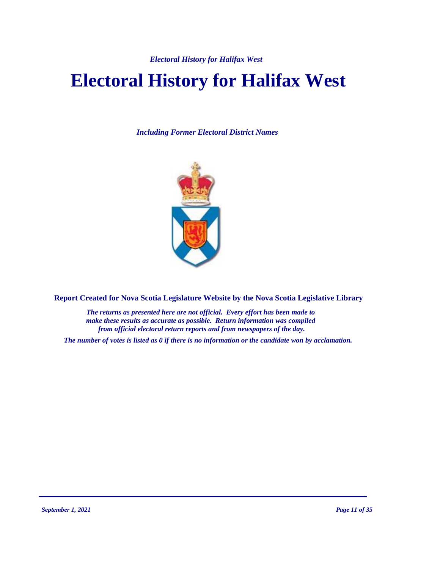# **Electoral History for Halifax West**

*Including Former Electoral District Names*



**Report Created for Nova Scotia Legislature Website by the Nova Scotia Legislative Library**

*The returns as presented here are not official. Every effort has been made to make these results as accurate as possible. Return information was compiled from official electoral return reports and from newspapers of the day.*

*The number of votes is listed as 0 if there is no information or the candidate won by acclamation.*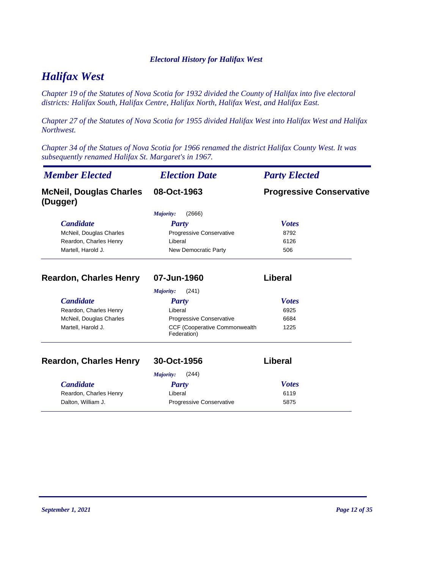# *Halifax West*

*Chapter 19 of the Statutes of Nova Scotia for 1932 divided the County of Halifax into five electoral districts: Halifax South, Halifax Centre, Halifax North, Halifax West, and Halifax East.*

*Chapter 27 of the Statutes of Nova Scotia for 1955 divided Halifax West into Halifax West and Halifax Northwest.*

*Chapter 34 of the Statues of Nova Scotia for 1966 renamed the district Halifax County West. It was subsequently renamed Halifax St. Margaret's in 1967.*

| <b>Member Elected</b>                      | <b>Election Date</b>                         | <b>Party Elected</b>            |
|--------------------------------------------|----------------------------------------------|---------------------------------|
| <b>McNeil, Douglas Charles</b><br>(Dugger) | 08-Oct-1963                                  | <b>Progressive Conservative</b> |
|                                            | (2666)<br>Majority:                          |                                 |
| <b>Candidate</b>                           | Party                                        | <b>Votes</b>                    |
| McNeil, Douglas Charles                    | Progressive Conservative                     | 8792                            |
| Reardon, Charles Henry                     | Liberal                                      | 6126                            |
| Martell, Harold J.                         | New Democratic Party                         | 506                             |
| <b>Reardon, Charles Henry</b>              | 07-Jun-1960                                  | Liberal                         |
|                                            | (241)<br>Majority:                           |                                 |
| <b>Candidate</b>                           | <b>Party</b>                                 | <b>Votes</b>                    |
| Reardon, Charles Henry                     | Liberal                                      | 6925                            |
| McNeil, Douglas Charles                    | Progressive Conservative                     | 6684                            |
| Martell, Harold J.                         | CCF (Cooperative Commonwealth<br>Federation) | 1225                            |
| <b>Reardon, Charles Henry</b>              | 30-Oct-1956                                  | Liberal                         |
|                                            | Majority:<br>(244)                           |                                 |
| <b>Candidate</b>                           | Party                                        | <b>Votes</b>                    |
| Reardon, Charles Henry                     | Liberal                                      | 6119                            |
| Dalton, William J.                         | Progressive Conservative                     | 5875                            |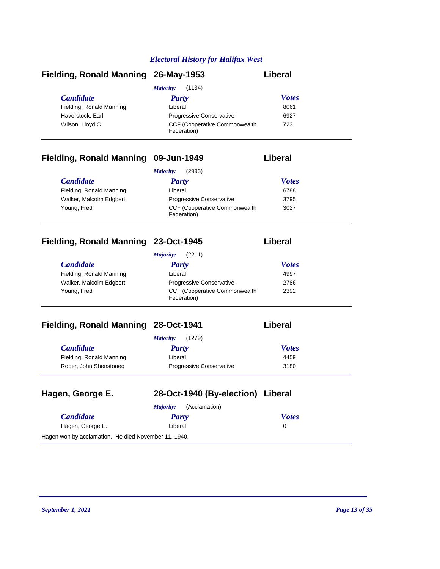| Fielding, Ronald Manning 26-May-1953 |                                                      | Liberal      |
|--------------------------------------|------------------------------------------------------|--------------|
|                                      | (1134)<br>Majority:                                  |              |
| <i>Candidate</i>                     | Party                                                | <b>Votes</b> |
| Fielding, Ronald Manning             | Liberal                                              | 8061         |
| Haverstock, Earl                     | <b>Progressive Conservative</b>                      | 6927         |
| Wilson, Lloyd C.                     | <b>CCF (Cooperative Commonwealth)</b><br>Federation) | 723          |

# **Fielding, Ronald Manning 09-Jun-1949 Liberal**

| (2993)<br>Majority:      |                                                      |              |
|--------------------------|------------------------------------------------------|--------------|
| <i>Candidate</i>         | Party                                                | <b>Votes</b> |
| Fielding, Ronald Manning | Liberal                                              | 6788         |
| Walker, Malcolm Edgbert  | <b>Progressive Conservative</b>                      | 3795         |
| Young, Fred              | <b>CCF (Cooperative Commonwealth)</b><br>Federation) | 3027         |

# **Fielding, Ronald Manning 23-Oct-1945 Liberal**

| (2211)<br>Majority:      |                                                      |              |  |
|--------------------------|------------------------------------------------------|--------------|--|
| <i>Candidate</i>         | Party                                                | <b>Votes</b> |  |
| Fielding, Ronald Manning | Liberal                                              | 4997         |  |
| Walker, Malcolm Edgbert  | <b>Progressive Conservative</b>                      | 2786         |  |
| Young, Fred              | <b>CCF (Cooperative Commonwealth)</b><br>Federation) | 2392         |  |

# **Fielding, Ronald Manning 28-Oct-1941 Liberally**

|  | <b>∟ıberal</b> |
|--|----------------|
|--|----------------|

|                          | (1279)<br>Majority:             |              |
|--------------------------|---------------------------------|--------------|
| <i>Candidate</i>         | Party                           | <b>Votes</b> |
| Fielding, Ronald Manning | Liberal                         | 4459         |
| Roper, John Shenstoneg   | <b>Progressive Conservative</b> | 3180         |

| Hagen, George E.                                     | 28-Oct-1940 (By-election) Liberal |              |
|------------------------------------------------------|-----------------------------------|--------------|
|                                                      | (Acclamation)<br>Maiority:        |              |
| <b>Candidate</b>                                     | Party                             | <b>Votes</b> |
| Hagen, George E.                                     | Liberal                           | 0            |
| Hagen won by acclamation. He died November 11, 1940. |                                   |              |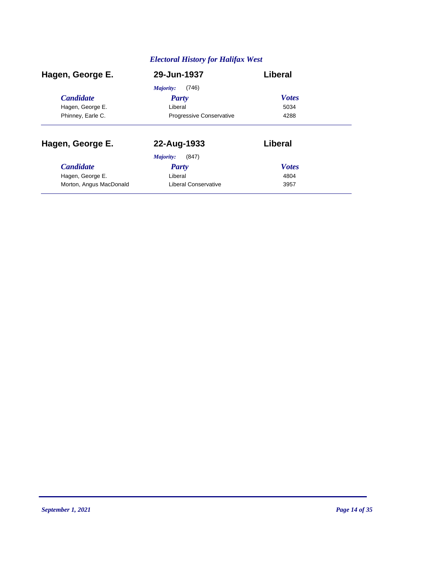| Hagen, George E.        | 29-Jun-1937                     | Liberal      |
|-------------------------|---------------------------------|--------------|
|                         | (746)<br>Majority:              |              |
| <b>Candidate</b>        | <b>Party</b>                    | <b>Votes</b> |
| Hagen, George E.        | Liberal                         | 5034         |
| Phinney, Earle C.       | <b>Progressive Conservative</b> | 4288         |
| Hagen, George E.        | 22-Aug-1933                     | Liberal      |
|                         | (847)<br>Majority:              |              |
| <b>Candidate</b>        | Party                           | <b>Votes</b> |
| Hagen, George E.        | Liberal                         | 4804         |
| Morton, Angus MacDonald | Liberal Conservative            | 3957         |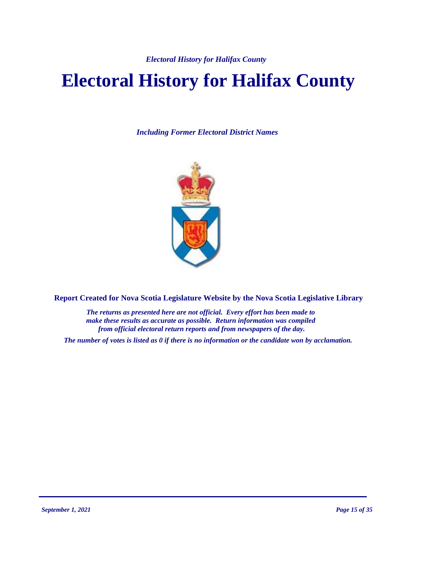# **Electoral History for Halifax County**

*Including Former Electoral District Names*



**Report Created for Nova Scotia Legislature Website by the Nova Scotia Legislative Library**

*The returns as presented here are not official. Every effort has been made to make these results as accurate as possible. Return information was compiled from official electoral return reports and from newspapers of the day.*

*The number of votes is listed as 0 if there is no information or the candidate won by acclamation.*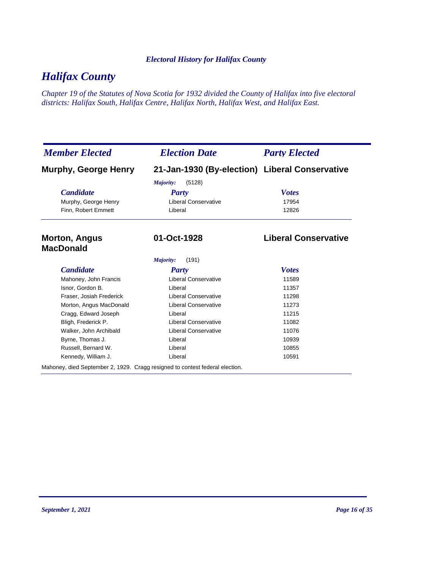# *Halifax County*

*Chapter 19 of the Statutes of Nova Scotia for 1932 divided the County of Halifax into five electoral districts: Halifax South, Halifax Centre, Halifax North, Halifax West, and Halifax East.*

| <b>Member Elected</b>                    | <b>Election Date</b>                                                         | <b>Party Elected</b>        |
|------------------------------------------|------------------------------------------------------------------------------|-----------------------------|
| <b>Murphy, George Henry</b>              | 21-Jan-1930 (By-election) Liberal Conservative                               |                             |
|                                          | Majority:<br>(5128)                                                          |                             |
| <b>Candidate</b>                         | Party                                                                        | <b>Votes</b>                |
| Murphy, George Henry                     | <b>Liberal Conservative</b>                                                  | 17954                       |
| Finn, Robert Emmett                      | Liberal                                                                      | 12826                       |
| <b>Morton, Angus</b><br><b>MacDonald</b> | 01-Oct-1928                                                                  | <b>Liberal Conservative</b> |
|                                          | (191)<br>Majority:                                                           |                             |
| <b>Candidate</b>                         | <b>Party</b>                                                                 | <b>Votes</b>                |
| Mahoney, John Francis                    | <b>Liberal Conservative</b>                                                  | 11589                       |
| Isnor, Gordon B.                         | Liberal                                                                      | 11357                       |
| Fraser, Josiah Frederick                 | <b>Liberal Conservative</b>                                                  | 11298                       |
| Morton, Angus MacDonald                  | <b>Liberal Conservative</b>                                                  | 11273                       |
| Cragg, Edward Joseph                     | Liberal                                                                      | 11215                       |
| Bligh, Frederick P.                      | <b>Liberal Conservative</b>                                                  | 11082                       |
| Walker, John Archibald                   | <b>Liberal Conservative</b>                                                  | 11076                       |
| Byrne, Thomas J.                         | Liberal                                                                      | 10939                       |
| Russell, Bernard W.                      | Liberal                                                                      | 10855                       |
| Kennedy, William J.                      | Liberal                                                                      | 10591                       |
|                                          | Mahoney, died September 2, 1929. Cragg resigned to contest federal election. |                             |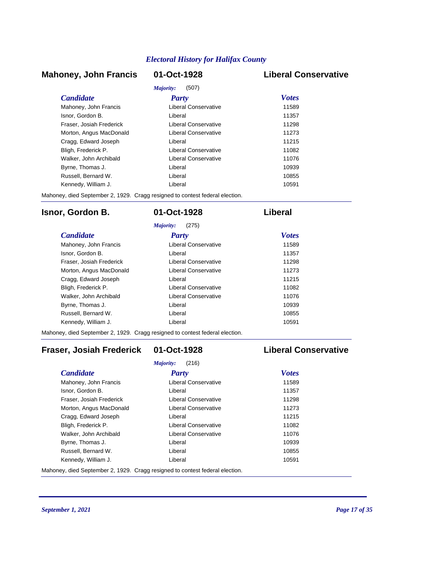# **Mahoney, John Francis 01-Oct-1928 Liberal Conservative**

# *Majority:* (507)

| <i>Candidate</i>         | Party                       | <b>Votes</b> |
|--------------------------|-----------------------------|--------------|
| Mahoney, John Francis    | Liberal Conservative        | 11589        |
| Isnor, Gordon B.         | Liberal                     | 11357        |
| Fraser, Josiah Frederick | <b>Liberal Conservative</b> | 11298        |
| Morton, Angus MacDonald  | Liberal Conservative        | 11273        |
| Cragg, Edward Joseph     | Liberal                     | 11215        |
| Bligh, Frederick P.      | Liberal Conservative        | 11082        |
| Walker, John Archibald   | Liberal Conservative        | 11076        |
| Byrne, Thomas J.         | Liberal                     | 10939        |
| Russell, Bernard W.      | Liberal                     | 10855        |
| Kennedy, William J.      | Liberal                     | 10591        |

Mahoney, died September 2, 1929. Cragg resigned to contest federal election.

# **Isnor, Gordon B. 01-Oct-1928 Liberal**

|                          | (275)<br>Majority:   |              |
|--------------------------|----------------------|--------------|
| <b>Candidate</b>         | Party                | <b>Votes</b> |
| Mahoney, John Francis    | Liberal Conservative | 11589        |
| Isnor, Gordon B.         | Liberal              | 11357        |
| Fraser, Josiah Frederick | Liberal Conservative | 11298        |
| Morton, Angus MacDonald  | Liberal Conservative | 11273        |
| Cragg, Edward Joseph     | Liberal              | 11215        |
| Bligh, Frederick P.      | Liberal Conservative | 11082        |
| Walker, John Archibald   | Liberal Conservative | 11076        |
| Byrne, Thomas J.         | I iberal             | 10939        |
| Russell, Bernard W.      | I iberal             | 10855        |
| Kennedy, William J.      | Liberal              | 10591        |

Mahoney, died September 2, 1929. Cragg resigned to contest federal election.

# **Fraser, Josiah Frederick 01-Oct-1928 Liberal Conservative**

|                          | (216)<br>Majority:   |              |
|--------------------------|----------------------|--------------|
| <b>Candidate</b>         | Party                | <b>Votes</b> |
| Mahoney, John Francis    | Liberal Conservative | 11589        |
| Isnor, Gordon B.         | Liberal              | 11357        |
| Fraser, Josiah Frederick | Liberal Conservative | 11298        |
| Morton, Angus MacDonald  | Liberal Conservative | 11273        |
| Cragg, Edward Joseph     | Liberal              | 11215        |
| Bligh, Frederick P.      | Liberal Conservative | 11082        |
| Walker, John Archibald   | Liberal Conservative | 11076        |
| Byrne, Thomas J.         | Liberal              | 10939        |
| Russell, Bernard W.      | Liberal              | 10855        |
| Kennedy, William J.      | Liberal              | 10591        |

Mahoney, died September 2, 1929. Cragg resigned to contest federal election.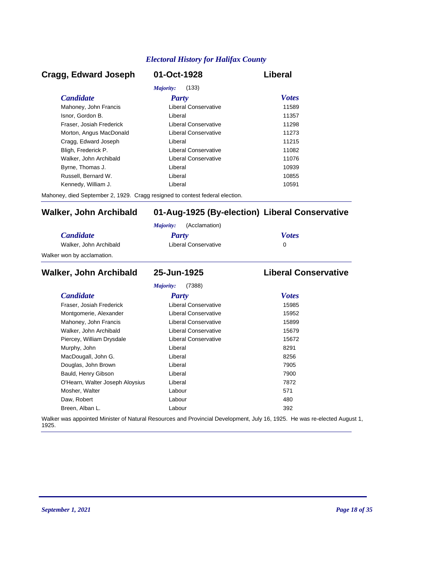# *Candidate Party Votes* **Cragg, Edward Joseph 01-Oct-1928 Liberal** *Majority:* (133) Mahoney, John Francis **Liberal Conservative** 11589 Isnor, Gordon B. Liberal 11357 Fraser, Josiah Frederick Liberal Conservative 11298 Morton, Angus MacDonald **Liberal Conservative** 11273 Cragg, Edward Joseph Liberal 11215 Bligh, Frederick P. Liberal Conservative 11082 Walker, John Archibald **Liberal Conservative** 11076 Byrne, Thomas J. Christian Liberal Liberal Christian Museum and the 10939 Russell, Bernard W. Liberal 10855 Kennedy, William J. Christian Liberal Liberal Christian Museum of the 10591

Mahoney, died September 2, 1929. Cragg resigned to contest federal election.

# **Walker, John Archibald 01-Aug-1925 (By-election) Liberal Conservative**

|                            | (Acclamation)<br>Maiority: |              |
|----------------------------|----------------------------|--------------|
| <i>Candidate</i>           | Party                      | <b>Votes</b> |
| Walker, John Archibald     | Liberal Conservative       |              |
| Walker won by acclamation. |                            |              |

## *Candidate Party Votes* **Walker, John Archibald 25-Jun-1925 Liberal Conservative** *Majority:* (7388) Fraser, Josiah Frederick Liberal Conservative 15985 Montgomerie, Alexander **Liberal Conservative** 15952 Mahoney, John Francis **Liberal Conservative** 15899 Walker, John Archibald **Liberal Conservative** 15679 Piercey, William Drysdale **Liberal Conservative** 15672 Murphy, John **Base Communist Communist Communist Communist Communist Communist Communist Communist Communist Communist Communist Communist Communist Communist Communist Communist Communist Communist Communist Communist Com** MacDougall, John G. Christian Muslim Liberal Christian Muslim Bacher 8256 Douglas, John Brown **Digest Example 2018** Liberal *T905* 7905 Bauld, Henry Gibson Liberal 7900 O'Hearn, Walter Joseph Aloysius Liberal Liberal 27872 Mosher, Walter **Contract Contract Contract Contract Contract Contract Contract Contract Contract Contract Contract Contract Contract Contract Contract Contract Contract Contract Contract Contract Contract Contract Contract** Daw, Robert 280 and 200 km control and 200 km control and 200 km control and 200 km control and 200 km control and 200 km control and 200 km control and 200 km control and 200 km control and 200 km control and 200 km contr Breen, Alban L. Labour 392

Walker was appointed Minister of Natural Resources and Provincial Development, July 16, 1925. He was re-elected August 1, 1925.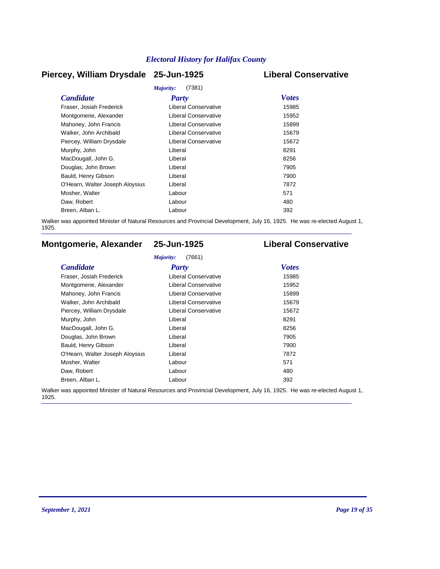# **Piercey, William Drysdale 25-Jun-1925 Liberal Conservative**

|                                 | Majority:<br>(7381)         |              |
|---------------------------------|-----------------------------|--------------|
| <b>Candidate</b>                | <b>Party</b>                | <b>Votes</b> |
| Fraser, Josiah Frederick        | Liberal Conservative        | 15985        |
| Montgomerie, Alexander          | Liberal Conservative        | 15952        |
| Mahoney, John Francis           | <b>Liberal Conservative</b> | 15899        |
| Walker, John Archibald          | <b>Liberal Conservative</b> | 15679        |
| Piercey, William Drysdale       | Liberal Conservative        | 15672        |
| Murphy, John                    | Liberal                     | 8291         |
| MacDougall, John G.             | Liberal                     | 8256         |
| Douglas, John Brown             | Liberal                     | 7905         |
| Bauld, Henry Gibson             | Liberal                     | 7900         |
| O'Hearn, Walter Joseph Aloysius | Liberal                     | 7872         |
| Mosher, Walter                  | Labour                      | 571          |
| Daw, Robert                     | Labour                      | 480          |
| Breen, Alban L.                 | Labour                      | 392          |
|                                 |                             |              |

Walker was appointed Minister of Natural Resources and Provincial Development, July 16, 1925. He was re-elected August 1, 1925.

# **Montgomerie, Alexander 25-Jun-1925 Liberal Conservative**

### *Majority:* (7661)

| <b>Candidate</b>                | Party                       | <b>Votes</b> |
|---------------------------------|-----------------------------|--------------|
| Fraser, Josiah Frederick        | Liberal Conservative        | 15985        |
| Montgomerie, Alexander          | Liberal Conservative        | 15952        |
| Mahoney, John Francis           | <b>Liberal Conservative</b> | 15899        |
| Walker, John Archibald          | <b>Liberal Conservative</b> | 15679        |
| Piercey, William Drysdale       | Liberal Conservative        | 15672        |
| Murphy, John                    | Liberal                     | 8291         |
| MacDougall, John G.             | Liberal                     | 8256         |
| Douglas, John Brown             | Liberal                     | 7905         |
| Bauld, Henry Gibson             | Liberal                     | 7900         |
| O'Hearn, Walter Joseph Aloysius | Liberal                     | 7872         |
| Mosher, Walter                  | Labour                      | 571          |
| Daw, Robert                     | Labour                      | 480          |
| Breen, Alban L.                 | Labour                      | 392          |

Walker was appointed Minister of Natural Resources and Provincial Development, July 16, 1925. He was re-elected August 1, 1925.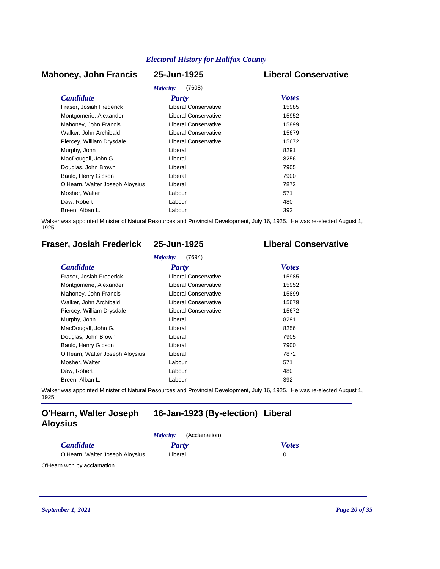# **Mahoney, John Francis 25-Jun-1925 Liberal Conservative**

# *Majority:* (7608)

|                                 | Majority:<br>(7608)         |              |
|---------------------------------|-----------------------------|--------------|
| <b>Candidate</b>                | <b>Party</b>                | <b>Votes</b> |
| Fraser, Josiah Frederick        | Liberal Conservative        | 15985        |
| Montgomerie, Alexander          | <b>Liberal Conservative</b> | 15952        |
| Mahoney, John Francis           | Liberal Conservative        | 15899        |
| Walker, John Archibald          | <b>Liberal Conservative</b> | 15679        |
| Piercey, William Drysdale       | Liberal Conservative        | 15672        |
| Murphy, John                    | Liberal                     | 8291         |
| MacDougall, John G.             | Liberal                     | 8256         |
| Douglas, John Brown             | Liberal                     | 7905         |
| Bauld, Henry Gibson             | Liberal                     | 7900         |
| O'Hearn, Walter Joseph Aloysius | Liberal                     | 7872         |
| Mosher, Walter                  | Labour                      | 571          |
| Daw, Robert                     | Labour                      | 480          |
| Breen, Alban L.                 | Labour                      | 392          |

Walker was appointed Minister of Natural Resources and Provincial Development, July 16, 1925. He was re-elected August 1, 1925.

# **Fraser, Josiah Frederick 25-Jun-1925 Liberal Conservative**

| <b>Candidate</b>                | <b>Party</b>                | <b>Votes</b> |
|---------------------------------|-----------------------------|--------------|
| Fraser, Josiah Frederick        | Liberal Conservative        | 15985        |
| Montgomerie, Alexander          | <b>Liberal Conservative</b> | 15952        |
| Mahoney, John Francis           | Liberal Conservative        | 15899        |
| Walker, John Archibald          | <b>Liberal Conservative</b> | 15679        |
| Piercey, William Drysdale       | Liberal Conservative        | 15672        |
| Murphy, John                    | Liberal                     | 8291         |
| MacDougall, John G.             | Liberal                     | 8256         |
| Douglas, John Brown             | Liberal                     | 7905         |
| Bauld, Henry Gibson             | Liberal                     | 7900         |
| O'Hearn, Walter Joseph Aloysius | Liberal                     | 7872         |
| Mosher, Walter                  | Labour                      | 571          |
| Daw, Robert                     | Labour                      | 480          |
| Breen, Alban L.                 | Labour                      | 392          |

Walker was appointed Minister of Natural Resources and Provincial Development, July 16, 1925. He was re-elected August 1, 1925.

# **O'Hearn, Walter Joseph 16-Jan-1923 (By-election) Liberal Aloysius**

|                                 | (Acclamation)<br><i>Majority:</i> |              |
|---------------------------------|-----------------------------------|--------------|
| <i>Candidate</i>                | Party                             | <b>Votes</b> |
| O'Hearn, Walter Joseph Aloysius | Liberal                           |              |
| O'Hearn won by acclamation.     |                                   |              |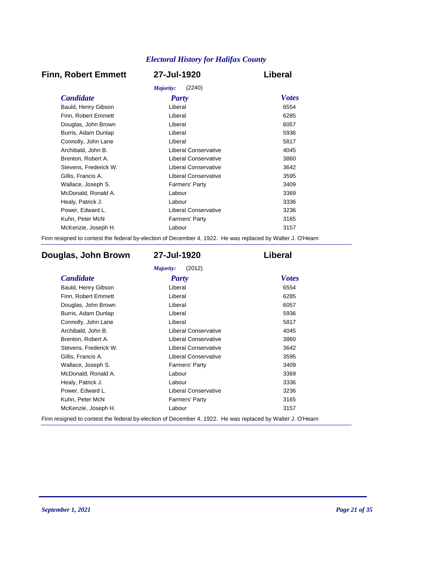# **Finn, Robert Emmett 27-Jul-1920 Liberal**

|                       | (2240)<br>Majority:         |              |
|-----------------------|-----------------------------|--------------|
| <i>Candidate</i>      | <b>Party</b>                | <b>Votes</b> |
| Bauld, Henry Gibson   | Liberal                     | 6554         |
| Finn, Robert Emmett   | Liberal                     | 6285         |
| Douglas, John Brown   | Liberal                     | 6057         |
| Burris, Adam Dunlap   | Liberal                     | 5936         |
| Connolly, John Lane   | Liberal                     | 5817         |
| Archibald, John B.    | Liberal Conservative        | 4045         |
| Brenton, Robert A.    | <b>Liberal Conservative</b> | 3860         |
| Stevens, Frederick W. | Liberal Conservative        | 3642         |
| Gillis, Francis A.    | Liberal Conservative        | 3595         |
| Wallace, Joseph S.    | Farmers' Party              | 3409         |
| McDonald, Ronald A.   | Labour                      | 3369         |
| Healy, Patrick J.     | Labour                      | 3336         |
| Power, Edward L.      | Liberal Conservative        | 3236         |
| Kuhn, Peter McN       | <b>Farmers' Party</b>       | 3165         |
| McKenzie, Joseph H.   | Labour                      | 3157         |
|                       |                             |              |

Finn resigned to contest the federal by-election of December 4, 1922. He was replaced by Walter J. O'Hearn

# **Douglas, John Brown 27-Jul-1920 Liberal**

| <b>Candidate</b>      | <b>Party</b>                | <b>Votes</b> |
|-----------------------|-----------------------------|--------------|
| Bauld, Henry Gibson   | Liberal                     | 6554         |
| Finn, Robert Emmett   | Liberal                     | 6285         |
| Douglas, John Brown   | Liberal                     | 6057         |
| Burris, Adam Dunlap   | Liberal                     | 5936         |
| Connolly, John Lane   | Liberal                     | 5817         |
| Archibald, John B.    | Liberal Conservative        | 4045         |
| Brenton, Robert A.    | <b>Liberal Conservative</b> | 3860         |
| Stevens, Frederick W. | <b>Liberal Conservative</b> | 3642         |
| Gillis, Francis A.    | <b>Liberal Conservative</b> | 3595         |
| Wallace, Joseph S.    | Farmers' Party              | 3409         |
| McDonald, Ronald A.   | Labour                      | 3369         |
| Healy, Patrick J.     | Labour                      | 3336         |
| Power, Edward L.      | <b>Liberal Conservative</b> | 3236         |
| Kuhn, Peter McN       | Farmers' Party              | 3165         |
| McKenzie, Joseph H.   | Labour                      | 3157         |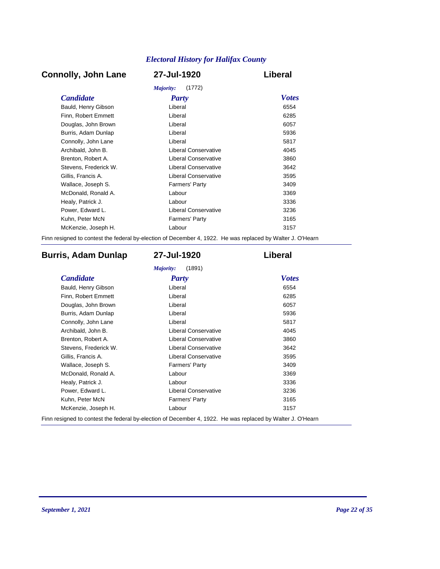# **Connolly, John Lane 27-Jul-1920 Liberal**

| Majority:<br>(1772)   |                             |              |  |
|-----------------------|-----------------------------|--------------|--|
| <i>Candidate</i>      | Party                       | <b>Votes</b> |  |
| Bauld, Henry Gibson   | Liberal                     | 6554         |  |
| Finn, Robert Emmett   | Liberal                     | 6285         |  |
| Douglas, John Brown   | Liberal                     | 6057         |  |
| Burris, Adam Dunlap   | Liberal                     | 5936         |  |
| Connolly, John Lane   | Liberal                     | 5817         |  |
| Archibald, John B.    | Liberal Conservative        | 4045         |  |
| Brenton, Robert A.    | <b>Liberal Conservative</b> | 3860         |  |
| Stevens, Frederick W. | Liberal Conservative        | 3642         |  |
| Gillis, Francis A.    | Liberal Conservative        | 3595         |  |
| Wallace, Joseph S.    | Farmers' Party              | 3409         |  |
| McDonald, Ronald A.   | Labour                      | 3369         |  |
| Healy, Patrick J.     | Labour                      | 3336         |  |
| Power, Edward L.      | <b>Liberal Conservative</b> | 3236         |  |
| Kuhn, Peter McN       | <b>Farmers' Party</b>       | 3165         |  |
| McKenzie, Joseph H.   | Labour                      | 3157         |  |
|                       |                             |              |  |

Finn resigned to contest the federal by-election of December 4, 1922. He was replaced by Walter J. O'Hearn

# **Burris, Adam Dunlap 27-Jul-1920 Liberal**

| <b>Candidate</b>      | <b>Party</b>                | <b>Votes</b> |
|-----------------------|-----------------------------|--------------|
| Bauld, Henry Gibson   | Liberal                     | 6554         |
| Finn, Robert Emmett   | Liberal                     | 6285         |
| Douglas, John Brown   | Liberal                     | 6057         |
| Burris, Adam Dunlap   | Liberal                     | 5936         |
| Connolly, John Lane   | Liberal                     | 5817         |
| Archibald, John B.    | Liberal Conservative        | 4045         |
| Brenton, Robert A.    | <b>Liberal Conservative</b> | 3860         |
| Stevens, Frederick W. | <b>Liberal Conservative</b> | 3642         |
| Gillis, Francis A.    | <b>Liberal Conservative</b> | 3595         |
| Wallace, Joseph S.    | <b>Farmers' Party</b>       | 3409         |
| McDonald, Ronald A.   | Labour                      | 3369         |
| Healy, Patrick J.     | Labour                      | 3336         |
| Power, Edward L.      | <b>Liberal Conservative</b> | 3236         |
| Kuhn, Peter McN       | <b>Farmers' Party</b>       | 3165         |
| McKenzie, Joseph H.   | Labour                      | 3157         |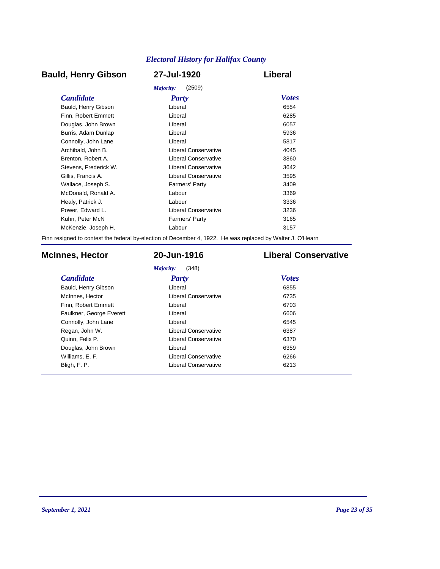# **Bauld, Henry Gibson 27-Jul-1920 Liberal**

|                       | (2509)<br>Majority:   |              |
|-----------------------|-----------------------|--------------|
| <b>Candidate</b>      | <b>Party</b>          | <b>Votes</b> |
| Bauld, Henry Gibson   | Liberal               | 6554         |
| Finn, Robert Emmett   | Liberal               | 6285         |
| Douglas, John Brown   | Liberal               | 6057         |
| Burris, Adam Dunlap   | Liberal               | 5936         |
| Connolly, John Lane   | Liberal               | 5817         |
| Archibald, John B.    | Liberal Conservative  | 4045         |
| Brenton, Robert A.    | Liberal Conservative  | 3860         |
| Stevens. Frederick W. | Liberal Conservative  | 3642         |
| Gillis, Francis A.    | Liberal Conservative  | 3595         |
| Wallace, Joseph S.    | <b>Farmers' Party</b> | 3409         |
| McDonald, Ronald A.   | Labour                | 3369         |
| Healy, Patrick J.     | Labour                | 3336         |
| Power, Edward L.      | Liberal Conservative  | 3236         |
| Kuhn, Peter McN       | <b>Farmers' Party</b> | 3165         |
| McKenzie, Joseph H.   | Labour                | 3157         |
|                       |                       |              |

Finn resigned to contest the federal by-election of December 4, 1922. He was replaced by Walter J. O'Hearn

# **McInnes, Hector 20-Jun-1916 Liberal Conservative**

*Majority:* (348)

| <b>Candidate</b>         | Party                       | <b>Votes</b> |
|--------------------------|-----------------------------|--------------|
| Bauld, Henry Gibson      | Liberal                     | 6855         |
| McInnes, Hector          | Liberal Conservative        | 6735         |
| Finn, Robert Emmett      | Liberal                     | 6703         |
| Faulkner, George Everett | Liberal                     | 6606         |
| Connolly, John Lane      | Liberal                     | 6545         |
| Regan, John W.           | <b>Liberal Conservative</b> | 6387         |
| Quinn, Felix P.          | Liberal Conservative        | 6370         |
| Douglas, John Brown      | Liberal                     | 6359         |
| Williams, E. F.          | Liberal Conservative        | 6266         |
| Bligh, F. P.             | <b>Liberal Conservative</b> | 6213         |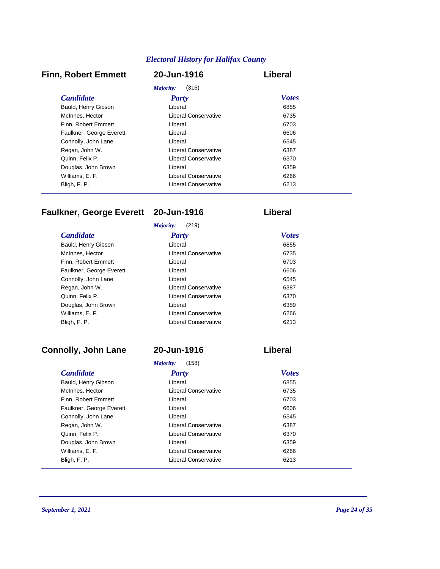# **Finn, Robert Emmett 20-Jun-1916 Liberal**

| Majority:<br>(316)       |                      |              |  |
|--------------------------|----------------------|--------------|--|
| <i>Candidate</i>         | Party                | <b>Votes</b> |  |
| Bauld, Henry Gibson      | Liberal              | 6855         |  |
| McInnes, Hector          | Liberal Conservative | 6735         |  |
| Finn, Robert Emmett      | Liberal              | 6703         |  |
| Faulkner, George Everett | Liberal              | 6606         |  |
| Connolly, John Lane      | Liberal              | 6545         |  |
| Regan, John W.           | Liberal Conservative | 6387         |  |
| Quinn, Felix P.          | Liberal Conservative | 6370         |  |
| Douglas, John Brown      | Liberal              | 6359         |  |
| Williams, E. F.          | Liberal Conservative | 6266         |  |
| Bligh, F. P.             | Liberal Conservative | 6213         |  |

# **Faulkner, George Everett 20-Jun-1916 Liberal**

|                          | (219)<br>Majority:   |              |
|--------------------------|----------------------|--------------|
| <b>Candidate</b>         | Party                | <b>Votes</b> |
| Bauld, Henry Gibson      | Liberal              | 6855         |
| McInnes, Hector          | Liberal Conservative | 6735         |
| Finn. Robert Emmett      | Liberal              | 6703         |
| Faulkner, George Everett | Liberal              | 6606         |
| Connolly, John Lane      | Liberal              | 6545         |
| Regan, John W.           | Liberal Conservative | 6387         |
| Quinn, Felix P.          | Liberal Conservative | 6370         |
| Douglas, John Brown      | Liberal              | 6359         |
| Williams, E. F.          | Liberal Conservative | 6266         |
| Bligh, F. P.             | Liberal Conservative | 6213         |

# **Connolly, John Lane 20-Jun-1916 Liberal**

# *Candidate Party Votes Majority:* (158) Bauld, Henry Gibson

| <b>Dadia, Fighty Oldson</b> | ------                      | <u>vuuv</u> |
|-----------------------------|-----------------------------|-------------|
| McInnes, Hector             | <b>Liberal Conservative</b> | 6735        |
| Finn, Robert Emmett         | Liberal                     | 6703        |
| Faulkner, George Everett    | Liberal                     | 6606        |
| Connolly, John Lane         | Liberal                     | 6545        |
| Regan, John W.              | <b>Liberal Conservative</b> | 6387        |
| Quinn, Felix P.             | <b>Liberal Conservative</b> | 6370        |
| Douglas, John Brown         | Liberal                     | 6359        |
| Williams, E. F.             | <b>Liberal Conservative</b> | 6266        |
| Bligh, F. P.                | <b>Liberal Conservative</b> | 6213        |

Bligh, F. P.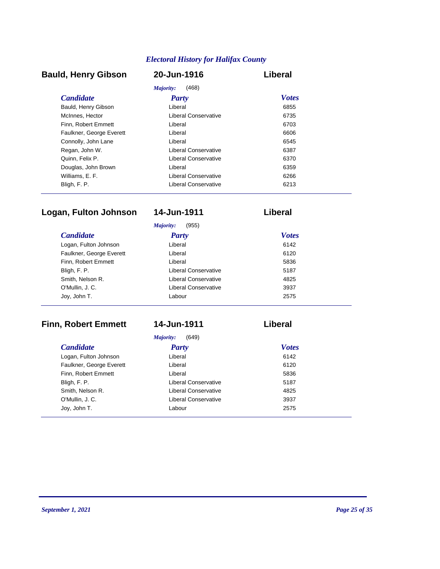# **Bauld, Henry Gibson 20-Jun-1916 Liberal**

| Majority:<br>(468)       |                      |              |  |
|--------------------------|----------------------|--------------|--|
| <i>Candidate</i>         | Party                | <b>Votes</b> |  |
| Bauld, Henry Gibson      | Liberal              | 6855         |  |
| McInnes, Hector          | Liberal Conservative | 6735         |  |
| Finn, Robert Emmett      | Liberal              | 6703         |  |
| Faulkner, George Everett | Liberal              | 6606         |  |
| Connolly, John Lane      | Liberal              | 6545         |  |
| Regan, John W.           | Liberal Conservative | 6387         |  |
| Quinn, Felix P.          | Liberal Conservative | 6370         |  |
| Douglas, John Brown      | Liberal              | 6359         |  |
| Williams, E. F.          | Liberal Conservative | 6266         |  |
| Bligh, F. P.             | Liberal Conservative | 6213         |  |

# **Logan, Fulton Johnson 14-Jun-1911 Liberal**

|                          | (955)<br>Majority:   |              |
|--------------------------|----------------------|--------------|
| <b>Candidate</b>         | <b>Party</b>         | <b>Votes</b> |
| Logan, Fulton Johnson    | Liberal              | 6142         |
| Faulkner, George Everett | Liberal              | 6120         |
| Finn, Robert Emmett      | Liberal              | 5836         |
| Bligh, F. P.             | Liberal Conservative | 5187         |
| Smith, Nelson R.         | Liberal Conservative | 4825         |
| O'Mullin, J. C.          | Liberal Conservative | 3937         |
| Joy, John T.             | Labour               | 2575         |

# **Finn, Robert Emmett 14-Jun-1911 Liberal**

*Majority:* (649)

| <b>Candidate</b>         | <b>Party</b>         | <b>Votes</b> |
|--------------------------|----------------------|--------------|
| Logan, Fulton Johnson    | Liberal              | 6142         |
| Faulkner, George Everett | Liberal              | 6120         |
| Finn, Robert Emmett      | Liberal              | 5836         |
| Bligh, F. P.             | Liberal Conservative | 5187         |
| Smith, Nelson R.         | Liberal Conservative | 4825         |
| O'Mullin, J. C.          | Liberal Conservative | 3937         |
| Joy, John T.             | Labour               | 2575         |
|                          |                      |              |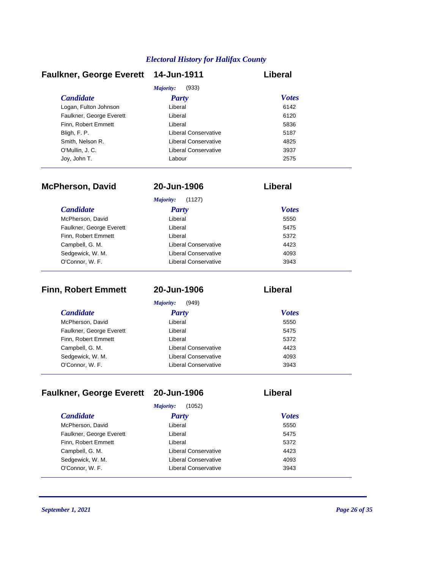| <b>Faulkner, George Everett</b> | 14-Jun-1911          | Liberal      |
|---------------------------------|----------------------|--------------|
|                                 | Majority:<br>(933)   |              |
| <b>Candidate</b>                | <b>Party</b>         | <b>Votes</b> |
| Logan, Fulton Johnson           | Liberal              | 6142         |
| Faulkner, George Everett        | Liberal              | 6120         |
| Finn. Robert Emmett             | Liberal              | 5836         |
| Bligh, F. P.                    | Liberal Conservative | 5187         |
| Smith, Nelson R.                | Liberal Conservative | 4825         |
| O'Mullin, J.C.                  | Liberal Conservative | 3937         |
| Joy, John T.                    | Labour               | 2575         |

| <b>McPherson, David</b>  | 20-Jun-1906                 | Liberal      |  |
|--------------------------|-----------------------------|--------------|--|
|                          | Majority:<br>(1127)         |              |  |
| <i>Candidate</i>         | Party                       | <b>Votes</b> |  |
| McPherson, David         | Liberal                     | 5550         |  |
| Faulkner, George Everett | Liberal                     | 5475         |  |
| Finn, Robert Emmett      | Liberal                     | 5372         |  |
| Campbell, G. M.          | Liberal Conservative        | 4423         |  |
| Sedgewick, W. M.         | Liberal Conservative        | 4093         |  |
| O'Connor, W. F.          | <b>Liberal Conservative</b> | 3943         |  |

| <b>Finn, Robert Emmett</b> | 20-Jun-1906          | Liberal      |  |
|----------------------------|----------------------|--------------|--|
|                            | (949)<br>Majority:   |              |  |
| <b>Candidate</b>           | <b>Party</b>         | <b>Votes</b> |  |
| McPherson, David           | Liberal              | 5550         |  |
| Faulkner, George Everett   | Liberal              | 5475         |  |
| Finn, Robert Emmett        | Liberal              | 5372         |  |
| Campbell, G. M.            | Liberal Conservative | 4423         |  |
| Sedgewick, W. M.           | Liberal Conservative | 4093         |  |
| O'Connor, W. F.            | Liberal Conservative | 3943         |  |

# **Faulkner, George Everett 20-Jun-1906 Liberal**

|                          | (1052)<br>Majority:  |              |
|--------------------------|----------------------|--------------|
| <b>Candidate</b>         | <b>Party</b>         | <b>Votes</b> |
| McPherson, David         | Liberal              | 5550         |
| Faulkner, George Everett | Liberal              | 5475         |
| Finn, Robert Emmett      | Liberal              | 5372         |
| Campbell, G. M.          | Liberal Conservative | 4423         |
| Sedgewick, W. M.         | Liberal Conservative | 4093         |
| O'Connor, W. F.          | Liberal Conservative | 3943         |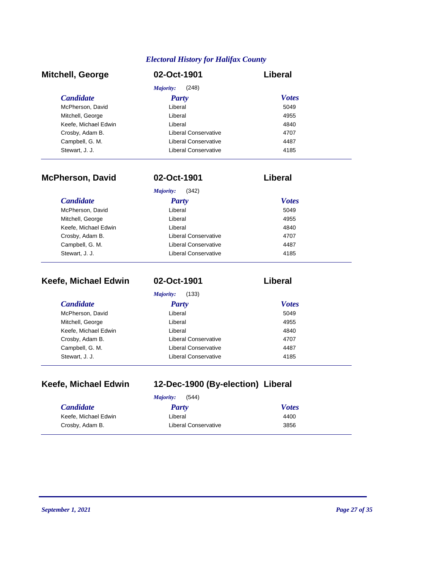| <b>Mitchell, George</b> | 02-Oct-1901          | Liberal      |
|-------------------------|----------------------|--------------|
|                         | (248)<br>Majority:   |              |
| <b>Candidate</b>        | <b>Party</b>         | <b>Votes</b> |
| McPherson, David        | Liberal              | 5049         |
| Mitchell, George        | Liberal              | 4955         |
| Keefe, Michael Edwin    | Liberal              | 4840         |
| Crosby, Adam B.         | Liberal Conservative | 4707         |
| Campbell, G. M.         | Liberal Conservative | 4487         |
| Stewart, J. J.          | Liberal Conservative | 4185         |

| <b>McPherson, David</b> | 02-Oct-1901          | Liberal      |
|-------------------------|----------------------|--------------|
|                         | Majority:<br>(342)   |              |
| <b>Candidate</b>        | Party                | <b>Votes</b> |
| McPherson, David        | Liberal              | 5049         |
| Mitchell, George        | Liberal              | 4955         |
| Keefe, Michael Edwin    | Liberal              | 4840         |
| Crosby, Adam B.         | Liberal Conservative | 4707         |
| Campbell, G. M.         | Liberal Conservative | 4487         |
| Stewart, J. J.          | Liberal Conservative | 4185         |

| Keefe, Michael Edwin | 02-Oct-1901          | Liberal      |
|----------------------|----------------------|--------------|
|                      | Majority:<br>(133)   |              |
| <i>Candidate</i>     | <b>Party</b>         | <b>Votes</b> |
| McPherson, David     | Liberal              | 5049         |
| Mitchell, George     | Liberal              | 4955         |
| Keefe, Michael Edwin | Liberal              | 4840         |
| Crosby, Adam B.      | Liberal Conservative | 4707         |
| Campbell, G. M.      | Liberal Conservative | 4487         |
| Stewart, J. J.       | Liberal Conservative | 4185         |

|  | Keefe, Michael Edwin |  |
|--|----------------------|--|
|--|----------------------|--|

# **Keefe, Michael Edwin 12-Dec-1900 (By-election) Liberal**

| (544)<br>Maiority:   |                      |              |  |
|----------------------|----------------------|--------------|--|
| <b>Candidate</b>     | Party                | <b>Votes</b> |  |
| Keefe. Michael Edwin | Liberal              | 4400         |  |
| Crosby, Adam B.      | Liberal Conservative | 3856         |  |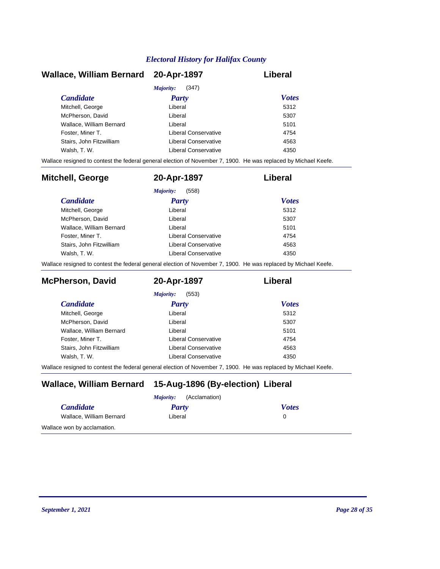| Wallace, William Bernard 20-Apr-1897 |                      | Liberal      |
|--------------------------------------|----------------------|--------------|
|                                      | (347)<br>Majority:   |              |
| <b>Candidate</b>                     | Party                | <b>Votes</b> |
| Mitchell, George                     | Liberal              | 5312         |
| McPherson, David                     | Liberal              | 5307         |
| Wallace, William Bernard             | Liberal              | 5101         |
| Foster, Miner T.                     | Liberal Conservative | 4754         |
| Stairs, John Fitzwilliam             | Liberal Conservative | 4563         |
| Walsh, T. W.                         | Liberal Conservative | 4350         |

Wallace resigned to contest the federal general election of November 7, 1900. He was replaced by Michael Keefe.

| <b>Mitchell, George</b>  | 20-Apr-1897          | Liberal      |
|--------------------------|----------------------|--------------|
|                          | (558)<br>Majority:   |              |
| <b>Candidate</b>         | <b>Party</b>         | <b>Votes</b> |
| Mitchell, George         | Liberal              | 5312         |
| McPherson, David         | Liberal              | 5307         |
| Wallace, William Bernard | Liberal              | 5101         |
| Foster, Miner T.         | Liberal Conservative | 4754         |
| Stairs, John Fitzwilliam | Liberal Conservative | 4563         |
| Walsh, T. W.             | Liberal Conservative | 4350         |

Wallace resigned to contest the federal general election of November 7, 1900. He was replaced by Michael Keefe.

| <b>McPherson, David</b>  | 20-Apr-1897          | Liberal      |
|--------------------------|----------------------|--------------|
|                          | (553)<br>Majority:   |              |
| <i>Candidate</i>         | Party                | <b>Votes</b> |
| Mitchell, George         | Liberal              | 5312         |
| McPherson, David         | Liberal              | 5307         |
| Wallace, William Bernard | Liberal              | 5101         |
| Foster, Miner T.         | Liberal Conservative | 4754         |
| Stairs, John Fitzwilliam | Liberal Conservative | 4563         |
| Walsh, T. W.             | Liberal Conservative | 4350         |

Wallace resigned to contest the federal general election of November 7, 1900. He was replaced by Michael Keefe.

# **Wallace, William Bernard 15-Aug-1896 (By-election) Liberal**

| (Acclamation)<br><i>Majority:</i> |         |              |  |
|-----------------------------------|---------|--------------|--|
| <b>Candidate</b>                  | Party   | <b>Votes</b> |  |
| Wallace, William Bernard          | Liberal |              |  |
| Wallace won by acclamation.       |         |              |  |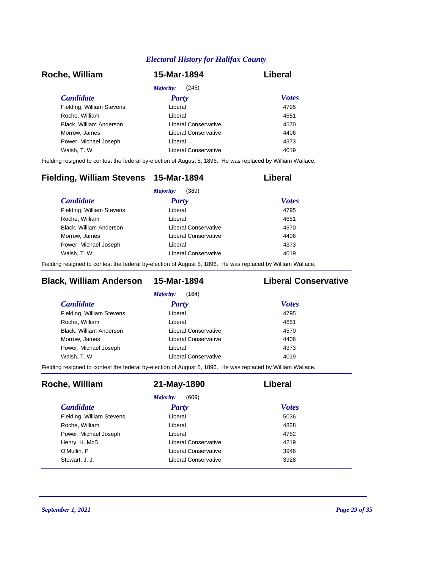| Roche, William            | 15-Mar-1894          | Liberal      |
|---------------------------|----------------------|--------------|
|                           | (245)<br>Majority:   |              |
| <i>Candidate</i>          | <b>Party</b>         | <b>Votes</b> |
| Fielding, William Stevens | Liberal              | 4795         |
| Roche, William            | Liberal              | 4651         |
| Black, William Anderson   | Liberal Conservative | 4570         |
| Morrow, James             | Liberal Conservative | 4406         |
| Power, Michael Joseph     | Liberal              | 4373         |
| Walsh, T. W.              | Liberal Conservative | 4019         |

Fielding resigned to contest the federal by-election of August 5, 1896. He was replaced by William Wallace.

| Fielding, William Stevens 15-Mar-1894 |                      | Liberal      |
|---------------------------------------|----------------------|--------------|
|                                       | (389)<br>Majority:   |              |
| <i>Candidate</i>                      | <b>Party</b>         | <b>Votes</b> |
| Fielding, William Stevens             | Liberal              | 4795         |
| Roche, William                        | Liberal              | 4651         |
| Black, William Anderson               | Liberal Conservative | 4570         |
| Morrow, James                         | Liberal Conservative | 4406         |
| Power, Michael Joseph                 | Liberal              | 4373         |
| Walsh, T. W.                          | Liberal Conservative | 4019         |
|                                       |                      |              |

Fielding resigned to contest the federal by-election of August 5, 1896. He was replaced by William Wallace.

# **Black, William Anderson 15-Mar-1894 Liberal Conservative**

| Liberal              | 4795 |                              |
|----------------------|------|------------------------------|
| Liberal              | 4651 |                              |
| Liberal Conservative | 4570 |                              |
| Liberal Conservative | 4406 |                              |
| Liberal              | 4373 |                              |
| Liberal Conservative | 4019 |                              |
|                      |      | <b>Votes</b><br><b>Party</b> |

Fielding resigned to contest the federal by-election of August 5, 1896. He was replaced by William Wallace.

| Roche, William            | 21-May-1890          | Liberal      |
|---------------------------|----------------------|--------------|
|                           | (609)<br>Majority:   |              |
| <i>Candidate</i>          | <b>Party</b>         | <b>Votes</b> |
| Fielding, William Stevens | Liberal              | 5036         |
| Roche, William            | Liberal              | 4828         |
| Power, Michael Joseph     | Liberal              | 4752         |
| Henry, H. McD             | Liberal Conservative | 4219         |
| O'Mullin, P               | Liberal Conservative | 3946         |
| Stewart, J. J.            | Liberal Conservative | 3928         |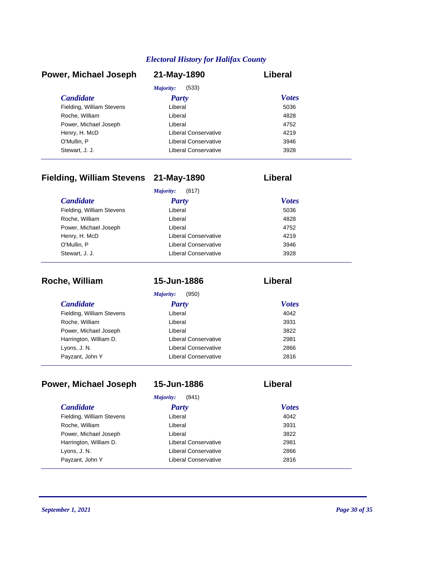| Power, Michael Joseph     | 21-May-1890                 | Liberal      |
|---------------------------|-----------------------------|--------------|
|                           | Majority:<br>(533)          |              |
| <b>Candidate</b>          | <b>Party</b>                | <b>Votes</b> |
| Fielding, William Stevens | Liberal                     | 5036         |
| Roche, William            | Liberal                     | 4828         |
| Power, Michael Joseph     | Liberal                     | 4752         |
| Henry, H. McD             | Liberal Conservative        | 4219         |
| O'Mullin, P               | <b>Liberal Conservative</b> | 3946         |
| Stewart, J. J.            | Liberal Conservative        | 3928         |

# **Fielding, William Stevens 21-May-1890 Liberal**

| (817)<br>Majority:        |                      |              |
|---------------------------|----------------------|--------------|
| <b>Candidate</b>          | <b>Party</b>         | <b>Votes</b> |
| Fielding, William Stevens | Liberal              | 5036         |
| Roche, William            | Liberal              | 4828         |
| Power, Michael Joseph     | Liberal              | 4752         |
| Henry, H. McD             | Liberal Conservative | 4219         |
| O'Mullin, P               | Liberal Conservative | 3946         |
| Stewart, J. J.            | Liberal Conservative | 3928         |

| Roche, William            | 15-Jun-1886          | Liberal      |  |
|---------------------------|----------------------|--------------|--|
|                           | Majority:<br>(950)   |              |  |
| <i>Candidate</i>          | <b>Party</b>         | <b>Votes</b> |  |
| Fielding, William Stevens | Liberal              | 4042         |  |
| Roche, William            | Liberal              | 3931         |  |
| Power, Michael Joseph     | Liberal              | 3822         |  |
| Harrington, William D.    | Liberal Conservative | 2981         |  |
| Lyons, J. N.              | Liberal Conservative | 2866         |  |
| Payzant, John Y           | Liberal Conservative | 2816         |  |

| Power, Michael Joseph     | 15-Jun-1886          | Liberal      |
|---------------------------|----------------------|--------------|
|                           | Majority:<br>(841)   |              |
| <b>Candidate</b>          | Party                | <b>Votes</b> |
| Fielding, William Stevens | Liberal              | 4042         |
| Roche, William            | Liberal              | 3931         |
| Power, Michael Joseph     | Liberal              | 3822         |
| Harrington, William D.    | Liberal Conservative | 2981         |
| Lyons, J. N.              | Liberal Conservative | 2866         |
| Payzant, John Y           | Liberal Conservative | 2816         |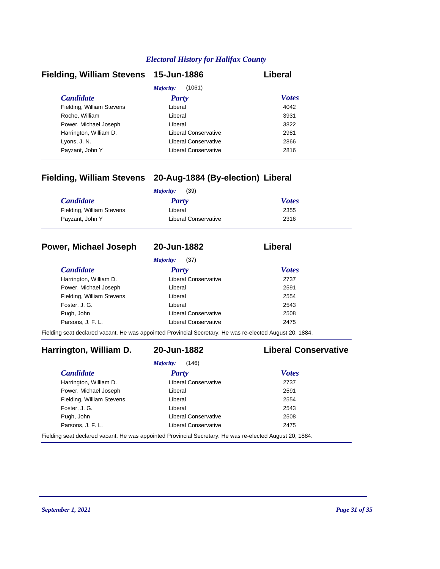| Fielding, William Stevens 15-Jun-1886 |                      | Liberal      |
|---------------------------------------|----------------------|--------------|
|                                       | (1061)<br>Majority:  |              |
| <b>Candidate</b>                      | <b>Party</b>         | <b>Votes</b> |
| Fielding, William Stevens             | Liberal              | 4042         |
| Roche, William                        | Liberal              | 3931         |
| Power, Michael Joseph                 | Liberal              | 3822         |
| Harrington, William D.                | Liberal Conservative | 2981         |
| Lyons, J. N.                          | Liberal Conservative | 2866         |
| Payzant, John Y                       | Liberal Conservative | 2816         |

# **Fielding, William Stevens 20-Aug-1884 (By-election) Liberal**

|                           | (39)<br>Majority:    |              |
|---------------------------|----------------------|--------------|
| <i>Candidate</i>          | Party                | <b>Votes</b> |
| Fielding, William Stevens | Liberal              | 2355         |
| Payzant, John Y           | Liberal Conservative | 2316         |

## **Power, Michael Joseph 20-Jun-1882 Liberal**

*Majority:* (37)

| <i>Candidate</i>          | <b>Party</b>                | <b>Votes</b> |
|---------------------------|-----------------------------|--------------|
| Harrington, William D.    | <b>Liberal Conservative</b> | 2737         |
| Power, Michael Joseph     | Liberal                     | 2591         |
| Fielding, William Stevens | Liberal                     | 2554         |
| Foster, J. G.             | Liberal                     | 2543         |
| Pugh, John                | Liberal Conservative        | 2508         |
| Parsons, J. F. L.         | <b>Liberal Conservative</b> | 2475         |

Fielding seat declared vacant. He was appointed Provincial Secretary. He was re-elected August 20, 1884.

# **Harrington, William D. 20-Jun-1882 Liberal Conservative**

| (146)<br>Majority:                                                                                       |                      |              |  |
|----------------------------------------------------------------------------------------------------------|----------------------|--------------|--|
| <i>Candidate</i>                                                                                         | Party                | <b>Votes</b> |  |
| Harrington, William D.                                                                                   | Liberal Conservative | 2737         |  |
| Power, Michael Joseph                                                                                    | Liberal              | 2591         |  |
| Fielding, William Stevens                                                                                | Liberal              | 2554         |  |
| Foster, J. G.                                                                                            | Liberal              | 2543         |  |
| Pugh, John                                                                                               | Liberal Conservative | 2508         |  |
| Parsons, J. F. L.                                                                                        | Liberal Conservative | 2475         |  |
| Fielding seat declared vacant. He was appointed Provincial Secretary. He was re-elected August 20, 1884. |                      |              |  |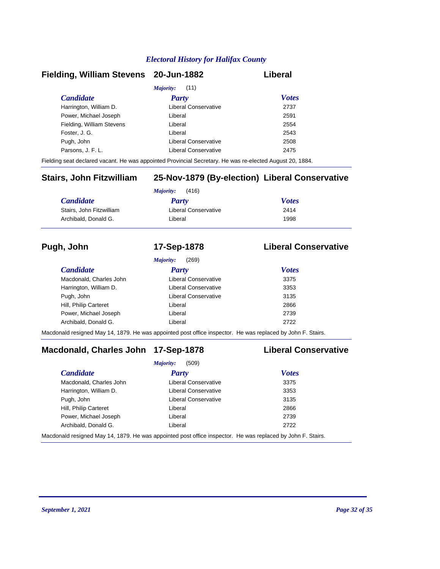## **Fielding, William Stevens 20-Jun-1882 Liberal**

| <i>Majority:</i> (11)     |                      |              |  |
|---------------------------|----------------------|--------------|--|
| <b>Candidate</b>          | <b>Party</b>         | <b>Votes</b> |  |
| Harrington, William D.    | Liberal Conservative | 2737         |  |
| Power, Michael Joseph     | Liberal              | 2591         |  |
| Fielding, William Stevens | Liberal              | 2554         |  |
| Foster, J. G.             | Liberal              | 2543         |  |
| Pugh, John                | Liberal Conservative | 2508         |  |
| Parsons, J. F. L.         | Liberal Conservative | 2475         |  |
|                           |                      |              |  |

Fielding seat declared vacant. He was appointed Provincial Secretary. He was re-elected August 20, 1884.

# **Stairs, John Fitzwilliam 25-Nov-1879 (By-election) Liberal Conservative**

| (416)<br>Majority:       |                      |              |
|--------------------------|----------------------|--------------|
| <b>Candidate</b>         | <b>Party</b>         | <b>Votes</b> |
| Stairs, John Fitzwilliam | Liberal Conservative | 2414         |
| Archibald, Donald G.     | Liberal              | 1998         |

# **Pugh, John 17-Sep-1878 Liberal Conservative**

|                         | (269)<br><i>Majority:</i> |              |
|-------------------------|---------------------------|--------------|
| <i>Candidate</i>        | <b>Party</b>              | <b>Votes</b> |
| Macdonald, Charles John | Liberal Conservative      | 3375         |
| Harrington, William D.  | Liberal Conservative      | 3353         |
| Pugh, John              | Liberal Conservative      | 3135         |
| Hill, Philip Carteret   | Liberal                   | 2866         |
| Power, Michael Joseph   | Liberal                   | 2739         |
| Archibald, Donald G.    | Liberal                   | 2722         |

Macdonald resigned May 14, 1879. He was appointed post office inspector. He was replaced by John F. Stairs.

# **Macdonald, Charles John 17-Sep-1878 Liberal Conservative**

|                         | (509)<br>Majority:                                                                                                    |              |  |
|-------------------------|-----------------------------------------------------------------------------------------------------------------------|--------------|--|
| <b>Candidate</b>        | <b>Party</b>                                                                                                          | <b>Votes</b> |  |
| Macdonald, Charles John | Liberal Conservative                                                                                                  | 3375         |  |
| Harrington, William D.  | Liberal Conservative                                                                                                  | 3353         |  |
| Pugh, John              | Liberal Conservative                                                                                                  | 3135         |  |
| Hill, Philip Carteret   | Liberal                                                                                                               | 2866         |  |
| Power, Michael Joseph   | Liberal                                                                                                               | 2739         |  |
| Archibald, Donald G.    | Liberal                                                                                                               | 2722         |  |
|                         | المعادلة التي التاريخ الموجود والموجود والتي ومقدم ومنطقة المواطنة المواطنية ومن من ما التي 10.4 أو المواطنة المواطنة |              |  |

Macdonald resigned May 14, 1879. He was appointed post office inspector. He was replaced by John F. Stairs.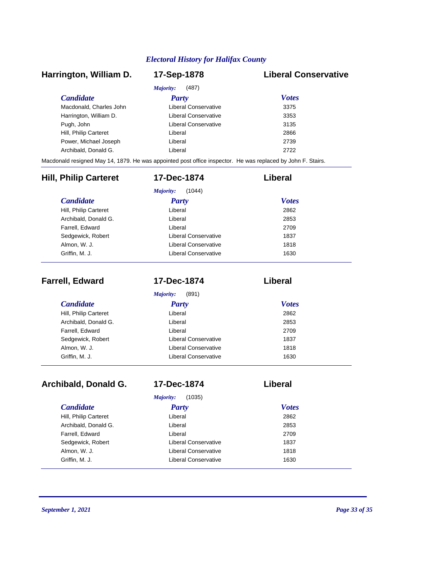# *Candidate Party Votes* **Harrington, William D. 17-Sep-1878 Liberal Conservative** *Majority:* (487) Macdonald, Charles John Liberal Conservative 3375 Harrington, William D. Ciberal Conservative 3353 Pugh, John **Disk and American Conservative** 3135 Hill, Philip Carteret **Liberal** Liberal 2866 Power, Michael Joseph Liberal Liberal 2739 Archibald, Donald G. Liberal 2722 Macdonald resigned May 14, 1879. He was appointed post office inspector. He was replaced by John F. Stairs. *Candidate Party Votes* **Hill, Philip Carteret 17-Dec-1874 Liberal** *Majority:* (1044) Hill, Philip Carteret Liberal Archibald, Donald G. Liberal 2853 Farrell, Edward 2709 Sedgewick, Robert **Liberal Conservative** 1837 Almon, W. J. Conservative Conservative 1818 Griffin, M. J. **Canadian Conservative** 1630

| <b>Farrell, Edward</b> | 17-Dec-1874          | Liberal      |  |
|------------------------|----------------------|--------------|--|
|                        | (891)<br>Majority:   |              |  |
| <b>Candidate</b>       | <b>Party</b>         | <b>Votes</b> |  |
| Hill, Philip Carteret  | Liberal              | 2862         |  |
| Archibald, Donald G.   | Liberal              | 2853         |  |
| Farrell, Edward        | Liberal              | 2709         |  |
| Sedgewick, Robert      | Liberal Conservative | 1837         |  |
| Almon, W. J.           | Liberal Conservative | 1818         |  |
| Griffin, M. J.         | Liberal Conservative | 1630         |  |

| Archibald, Donald G.  | 17-Dec-1874          | Liberal      |  |
|-----------------------|----------------------|--------------|--|
|                       | (1035)<br>Majority:  |              |  |
| <b>Candidate</b>      | <b>Party</b>         | <b>Votes</b> |  |
| Hill, Philip Carteret | Liberal              | 2862         |  |
| Archibald, Donald G.  | Liberal              | 2853         |  |
| Farrell, Edward       | Liberal              | 2709         |  |
| Sedgewick, Robert     | Liberal Conservative | 1837         |  |
| Almon, W. J.          | Liberal Conservative | 1818         |  |
| Griffin, M. J.        | Liberal Conservative | 1630         |  |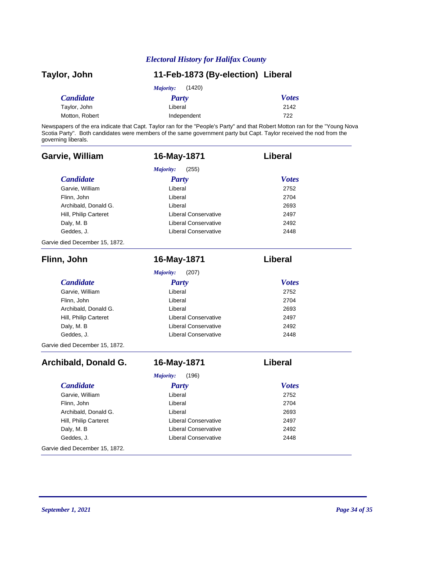| Taylor, John     | 11-Feb-1873 (By-election) Liberal |              |
|------------------|-----------------------------------|--------------|
|                  | (1420)<br><i>Majority:</i>        |              |
| <i>Candidate</i> | Party                             | <b>Votes</b> |
| Taylor, John     | Liberal                           | 2142         |
| Motton, Robert   | Independent                       | 722          |

Newspapers of the era indicate that Capt. Taylor ran for the "People's Party" and that Robert Motton ran for the "Young Nova Scotia Party". Both candidates were members of the same government party but Capt. Taylor received the nod from the governing liberals.

| Garvie, William                | 16-May-1871                 | Liberal      |
|--------------------------------|-----------------------------|--------------|
|                                | Majority:<br>(255)          |              |
| <b>Candidate</b>               | <b>Party</b>                | <b>Votes</b> |
| Garvie, William                | Liberal                     | 2752         |
| Flinn, John                    | Liberal                     | 2704         |
| Archibald, Donald G.           | Liberal                     | 2693         |
| Hill, Philip Carteret          | <b>Liberal Conservative</b> | 2497         |
| Daly, M. B                     | <b>Liberal Conservative</b> | 2492         |
| Geddes, J.                     | <b>Liberal Conservative</b> | 2448         |
| Garvie died December 15, 1872. |                             |              |
| Flinn, John                    | 16-May-1871                 | Liberal      |
|                                | Majority:<br>(207)          |              |
| <b>Candidate</b>               | <b>Party</b>                | <b>Votes</b> |
| Garvie, William                | Liberal                     | 2752         |
| Flinn, John                    | Liberal                     | 2704         |
| Archibald, Donald G.           | Liberal                     | 2693         |
| Hill, Philip Carteret          | <b>Liberal Conservative</b> | 2497         |
| Daly, M. B                     | <b>Liberal Conservative</b> | 2492         |
| Geddes, J.                     | <b>Liberal Conservative</b> | 2448         |
| Garvie died December 15, 1872. |                             |              |
| Archibald, Donald G.           | 16-May-1871                 | Liberal      |
|                                | Majority:<br>(196)          |              |
| <b>Candidate</b>               | <b>Party</b>                | <b>Votes</b> |
| Garvie, William                | Liberal                     | 2752         |
| Flinn, John                    | Liberal                     | 2704         |
| Archibald, Donald G.           | Liberal                     | 2693         |
| Hill, Philip Carteret          | <b>Liberal Conservative</b> | 2497         |
| Daly, M. B                     | <b>Liberal Conservative</b> | 2492         |
| Geddes, J.                     | <b>Liberal Conservative</b> | 2448         |
| Garvie died December 15, 1872. |                             |              |